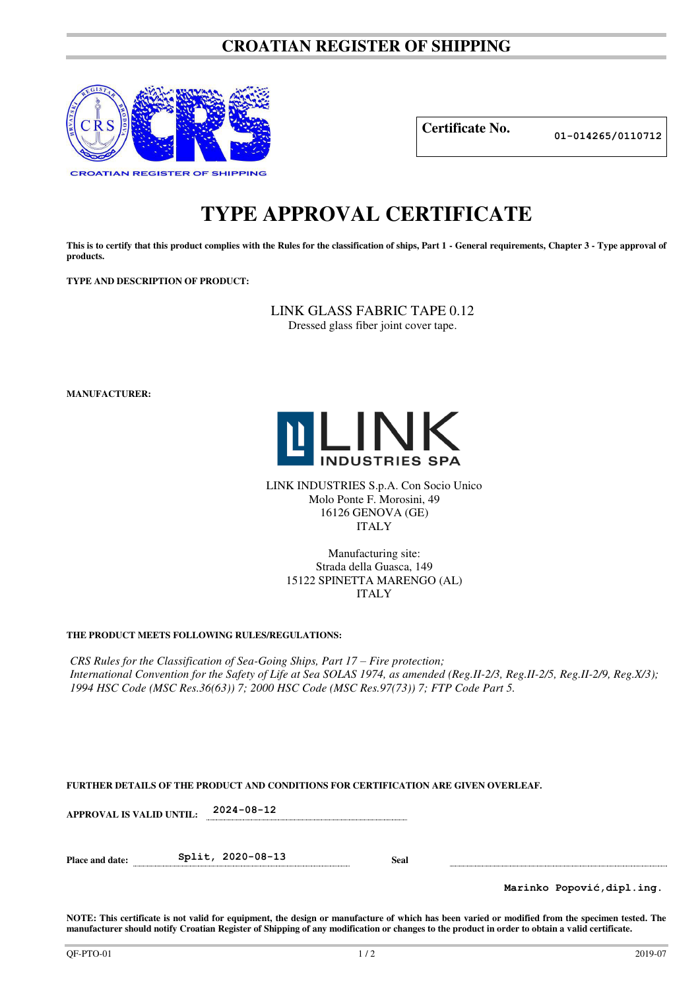# **CROATIAN REGISTER OF SHIPPING**



**Certificate No. 01-014265/0110712**

# **TYPE APPROVAL CERTIFICATE**

This is to certify that this product complies with the Rules for the classification of ships, Part 1 - General requirements, Chapter 3 - Type approval of **products.** 

**TYPE AND DESCRIPTION OF PRODUCT:** 

LINK GLASS FABRIC TAPE 0.12 Dressed glass fiber joint cover tape.

**MANUFACTURER:**



LINK INDUSTRIES S.p.A. Con Socio Unico Molo Ponte F. Morosini, 49 16126 GENOVA (GE) ITALY

> Manufacturing site: Strada della Guasca, 149 15122 SPINETTA MARENGO (AL) ITALY

# **THE PRODUCT MEETS FOLLOWING RULES/REGULATIONS:**

*CRS Rules for the Classification of Sea-Going Ships, Part 17 – Fire protection; International Convention for the Safety of Life at Sea SOLAS 1974, as amended (Reg.II-2/3, Reg.II-2/5, Reg.II-2/9, Reg.X/3); 1994 HSC Code (MSC Res.36(63)) 7; 2000 HSC Code (MSC Res.97(73)) 7; FTP Code Part 5.* 

| FURTHER DETAILS OF THE PRODUCT AND CONDITIONS FOR CERTIFICATION ARE GIVEN OVERLEAF. |  |  |
|-------------------------------------------------------------------------------------|--|--|
|                                                                                     |  |  |

**APPROVAL IS VALID UNTIL: 2024-08-12** 

**Place and date: Split, 2020-08-13 Seal** 

**Marinko Popović,dipl.ing.**

**NOTE: This certificate is not valid for equipment, the design or manufacture of which has been varied or modified from the specimen tested. The manufacturer should notify Croatian Register of Shipping of any modification or changes to the product in order to obtain a valid certificate.**